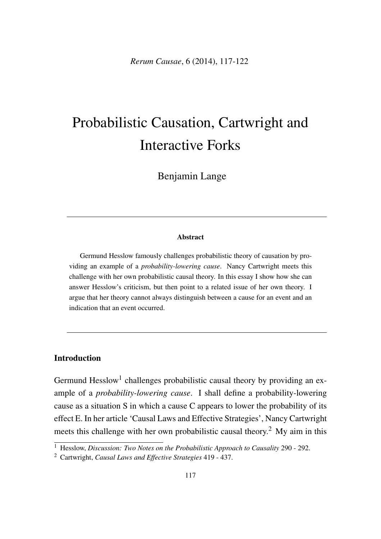*Rerum Causae*, 6 (2014), 117-122

# Probabilistic Causation, Cartwright and Interactive Forks

Benjamin Lange

#### Abstract

Germund Hesslow famously challenges probabilistic theory of causation by providing an example of a *probability-lowering cause*. Nancy Cartwright meets this challenge with her own probabilistic causal theory. In this essay I show how she can answer Hesslow's criticism, but then point to a related issue of her own theory. I argue that her theory cannot always distinguish between a cause for an event and an indication that an event occurred.

# Introduction

Germund  $Hesslow<sup>1</sup>$  challenges probabilistic causal theory by providing an example of a *probability-lowering cause*. I shall define a probability-lowering cause as a situation S in which a cause C appears to lower the probability of its effect E. In her article 'Causal Laws and Effective Strategies', Nancy Cartwright meets this challenge with her own probabilistic causal theory.<sup>2</sup> My aim in this

<sup>1</sup> Hesslow, *Discussion: Two Notes on the Probabilistic Approach to Causality* 290 - 292.

<sup>2</sup> Cartwright, *Causal Laws and Effective Strategies* 419 - 437.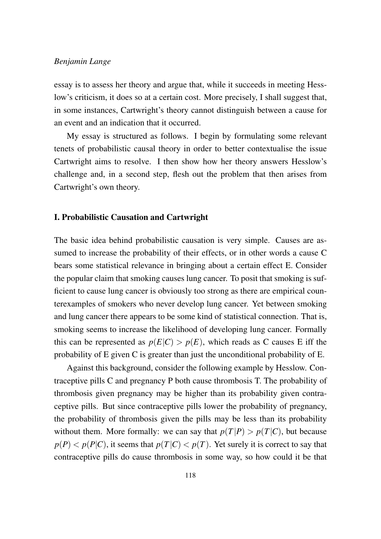# *Benjamin Lange*

essay is to assess her theory and argue that, while it succeeds in meeting Hesslow's criticism, it does so at a certain cost. More precisely, I shall suggest that, in some instances, Cartwright's theory cannot distinguish between a cause for an event and an indication that it occurred.

My essay is structured as follows. I begin by formulating some relevant tenets of probabilistic causal theory in order to better contextualise the issue Cartwright aims to resolve. I then show how her theory answers Hesslow's challenge and, in a second step, flesh out the problem that then arises from Cartwright's own theory.

#### I. Probabilistic Causation and Cartwright

The basic idea behind probabilistic causation is very simple. Causes are assumed to increase the probability of their effects, or in other words a cause C bears some statistical relevance in bringing about a certain effect E. Consider the popular claim that smoking causes lung cancer. To posit that smoking is sufficient to cause lung cancer is obviously too strong as there are empirical counterexamples of smokers who never develop lung cancer. Yet between smoking and lung cancer there appears to be some kind of statistical connection. That is, smoking seems to increase the likelihood of developing lung cancer. Formally this can be represented as  $p(E|C) > p(E)$ , which reads as C causes E iff the probability of E given C is greater than just the unconditional probability of E.

Against this background, consider the following example by Hesslow. Contraceptive pills C and pregnancy P both cause thrombosis T. The probability of thrombosis given pregnancy may be higher than its probability given contraceptive pills. But since contraceptive pills lower the probability of pregnancy, the probability of thrombosis given the pills may be less than its probability without them. More formally: we can say that  $p(T|P) > p(T|C)$ , but because  $p(P) < p(P|C)$ , it seems that  $p(T|C) < p(T)$ . Yet surely it is correct to say that contraceptive pills do cause thrombosis in some way, so how could it be that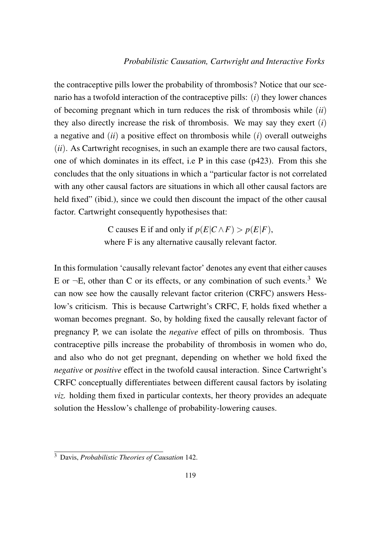the contraceptive pills lower the probability of thrombosis? Notice that our scenario has a twofold interaction of the contraceptive pills: (*i*) they lower chances of becoming pregnant which in turn reduces the risk of thrombosis while (*ii*) they also directly increase the risk of thrombosis. We may say they exert (*i*) a negative and (*ii*) a positive effect on thrombosis while (*i*) overall outweighs (*ii*). As Cartwright recognises, in such an example there are two causal factors, one of which dominates in its effect, i.e P in this case (p423). From this she concludes that the only situations in which a "particular factor is not correlated with any other causal factors are situations in which all other causal factors are held fixed" (ibid.), since we could then discount the impact of the other causal factor. Cartwright consequently hypothesises that:

> C causes E if and only if  $p(E|C \wedge F) > p(E|F)$ , where F is any alternative causally relevant factor.

In this formulation 'causally relevant factor' denotes any event that either causes E or  $\neg E$ , other than C or its effects, or any combination of such events.<sup>3</sup> We can now see how the causally relevant factor criterion (CRFC) answers Hesslow's criticism. This is because Cartwright's CRFC, F, holds fixed whether a woman becomes pregnant. So, by holding fixed the causally relevant factor of pregnancy P, we can isolate the *negative* effect of pills on thrombosis. Thus contraceptive pills increase the probability of thrombosis in women who do, and also who do not get pregnant, depending on whether we hold fixed the *negative* or *positive* effect in the twofold causal interaction. Since Cartwright's CRFC conceptually differentiates between different causal factors by isolating *viz.* holding them fixed in particular contexts, her theory provides an adequate solution the Hesslow's challenge of probability-lowering causes.

<sup>3</sup> Davis, *Probabilistic Theories of Causation* 142.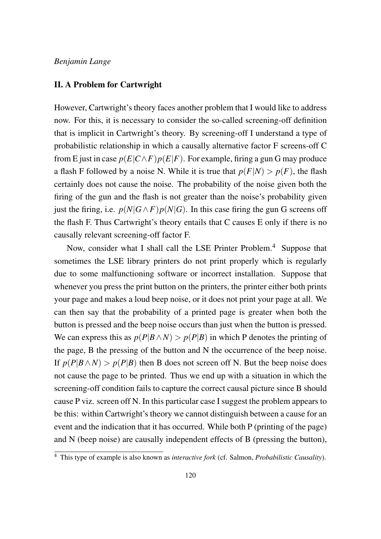# *Benjamin Lange*

#### II. A Problem for Cartwright

However, Cartwright's theory faces another problem that I would like to address now. For this, it is necessary to consider the so-called screening-off definition that is implicit in Cartwright's theory. By screening-off I understand a type of probabilistic relationship in which a causally alternative factor F screens-off C from E just in case  $p(E|C \wedge F)p(E|F)$ . For example, firing a gun G may produce a flash F followed by a noise N. While it is true that  $p(F|N) > p(F)$ , the flash certainly does not cause the noise. The probability of the noise given both the firing of the gun and the flash is not greater than the noise's probability given just the firing, i.e.  $p(N|G \wedge F)p(N|G)$ . In this case firing the gun G screens off the flash F. Thus Cartwright's theory entails that C causes E only if there is no causally relevant screening-off factor F.

Now, consider what I shall call the LSE Printer Problem.<sup>4</sup> Suppose that sometimes the LSE library printers do not print properly which is regularly due to some malfunctioning software or incorrect installation. Suppose that whenever you press the print button on the printers, the printer either both prints your page and makes a loud beep noise, or it does not print your page at all. We can then say that the probability of a printed page is greater when both the button is pressed and the beep noise occurs than just when the button is pressed. We can express this as  $p(P|B \wedge N) > p(P|B)$  in which P denotes the printing of the page, B the pressing of the button and N the occurrence of the beep noise. If  $p(P|B \wedge N) > p(P|B)$  then B does not screen off N. But the beep noise does not cause the page to be printed. Thus we end up with a situation in which the screening-off condition fails to capture the correct causal picture since B should cause P viz. screen off N. In this particular case I suggest the problem appears to be this: within Cartwright's theory we cannot distinguish between a cause for an event and the indication that it has occurred. While both P (printing of the page) and N (beep noise) are causally independent effects of B (pressing the button),

<sup>4</sup> This type of example is also known as *interactive fork* (cf. Salmon, *Probabilistic Causality*).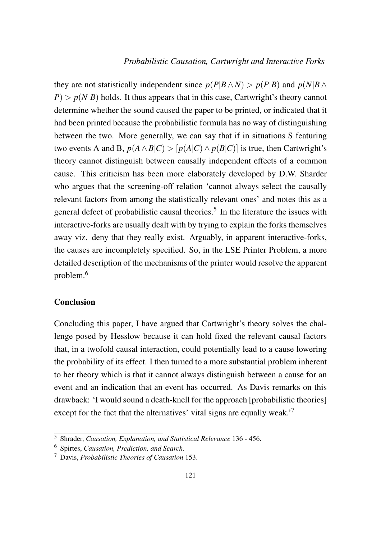#### *Probabilistic Causation, Cartwright and Interactive Forks*

they are not statistically independent since  $p(P|B \wedge N) > p(P|B)$  and  $p(N|B \wedge N)$  $P$ ) *> p*( $N$ |*B*) holds. It thus appears that in this case, Cartwright's theory cannot determine whether the sound caused the paper to be printed, or indicated that it had been printed because the probabilistic formula has no way of distinguishing between the two. More generally, we can say that if in situations S featuring two events A and B,  $p(A \wedge B|C) > [p(A|C) \wedge p(B|C)]$  is true, then Cartwright's theory cannot distinguish between causally independent effects of a common cause. This criticism has been more elaborately developed by D.W. Sharder who argues that the screening-off relation 'cannot always select the causally relevant factors from among the statistically relevant ones' and notes this as a general defect of probabilistic causal theories.<sup>5</sup> In the literature the issues with interactive-forks are usually dealt with by trying to explain the forks themselves away viz. deny that they really exist. Arguably, in apparent interactive-forks, the causes are incompletely specified. So, in the LSE Printer Problem, a more detailed description of the mechanisms of the printer would resolve the apparent problem.6

### **Conclusion**

Concluding this paper, I have argued that Cartwright's theory solves the challenge posed by Hesslow because it can hold fixed the relevant causal factors that, in a twofold causal interaction, could potentially lead to a cause lowering the probability of its effect. I then turned to a more substantial problem inherent to her theory which is that it cannot always distinguish between a cause for an event and an indication that an event has occurred. As Davis remarks on this drawback: 'I would sound a death-knell for the approach [probabilistic theories] except for the fact that the alternatives' vital signs are equally weak.'7

<sup>5</sup> Shrader, *Causation, Explanation, and Statistical Relevance* 136 - 456.

<sup>6</sup> Spirtes, *Causation, Prediction, and Search*.

<sup>7</sup> Davis, *Probabilistic Theories of Causation* 153.